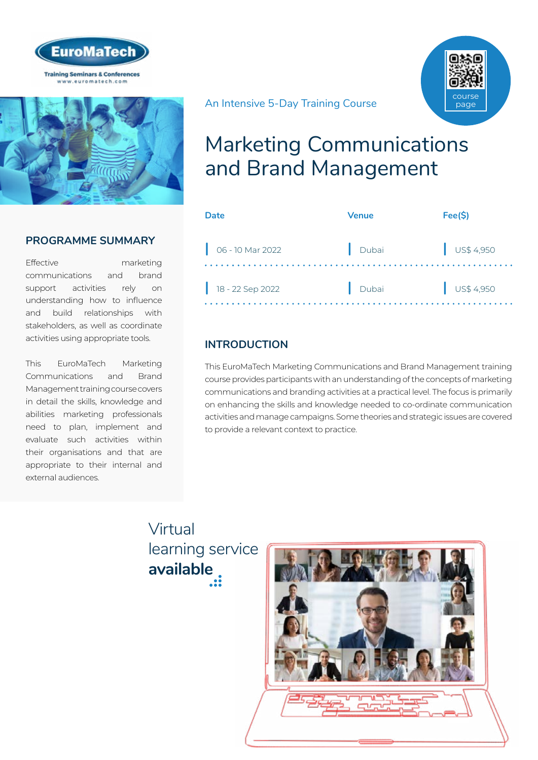



## **PROGRAMME SUMMARY**

Effective marketing communications and brand support activities rely on understanding how to influence and build relationships with stakeholders, as well as coordinate activities using appropriate tools.

This EuroMaTech Marketing Communications and Brand Management training course covers in detail the skills, knowledge and abilities marketing professionals need to plan, implement and evaluate such activities within their organisations and that are appropriate to their internal and external audiences.

## An Intensive 5-Day Training Course



# Marketing Communications and Brand Management

| Date             | <b>Venue</b> | Fee(S)                   |
|------------------|--------------|--------------------------|
| 06 - 10 Mar 2022 | Dubai        | $\bigcup$ US\$ 4,950     |
| 18 - 22 Sep 2022 | Dubai        | $\frac{1}{2}$ US\$ 4,950 |

## **INTRODUCTION**

This EuroMaTech Marketing Communications and Brand Management training course provides participants with an understanding of the concepts of marketing communications and branding activities at a practical level. The focus is primarily on enhancing the skills and knowledge needed to co-ordinate communication activities and manage campaigns. Some theories and strategic issues are covered to provide a relevant context to practice.

# Virtual [learning service](https://www.euromatech.com/seminars/marketing-communications-and-brand-management-1/)  **available**

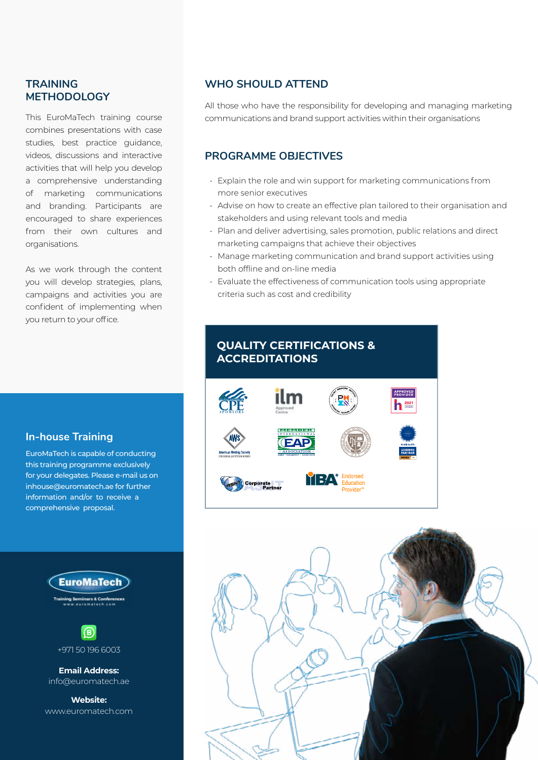## **TRAINING METHODOLOGY**

This EuroMaTech training course combines presentations with case studies, best practice guidance, videos, discussions and interactive activities that will help you develop a comprehensive understanding of marketing communications and branding. Participants are encouraged to share experiences from their own cultures and organisations.

As we work through the content you will develop strategies, plans, campaigns and activities you are confident of implementing when you return to your office.

## **In-house Training**

EuroMaTech is capable of conducting this training programme exclusively for your delegates. Please e-mail us on inhouse@euromatech.ae for further information and/or to receive a comprehensive proposal.





**Email Address:** info@euromatech.ae

**Website:** www.euromatech.com

## **WHO SHOULD ATTEND**

All those who have the responsibility for developing and managing marketing communications and brand support activities within their organisations

## **PROGRAMME OBJECTIVES**

- Explain the role and win support for marketing communications from more senior executives
- Advise on how to create an effective plan tailored to their organisation and stakeholders and using relevant tools and media
- Plan and deliver advertising, sales promotion, public relations and direct marketing campaigns that achieve their objectives
- Manage marketing communication and brand support activities using both offline and on-line media
- Evaluate the effectiveness of communication tools using appropriate criteria such as cost and credibility



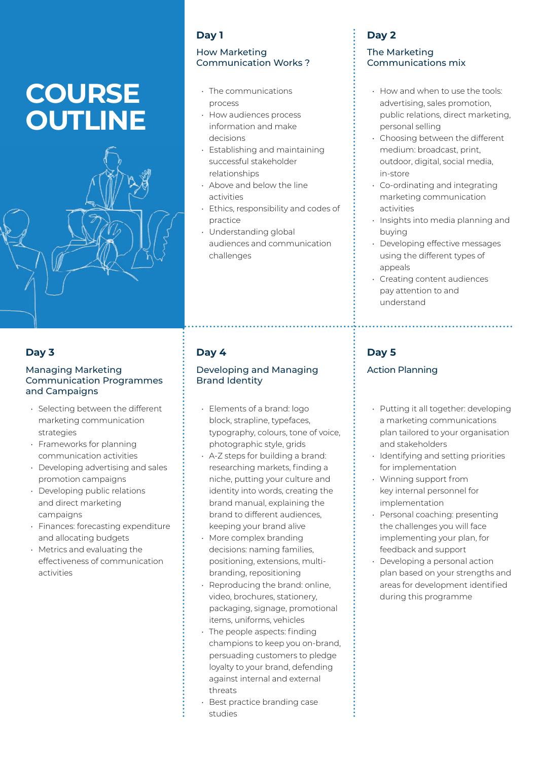# **COURSE OUTLINE**

#### **Day 1**

#### How Marketing Communication Works ?

- The communications process
- How audiences process information and make decisions
- Establishing and maintaining successful stakeholder relationships
- Above and below the line activities
- Ethics, responsibility and codes of practice
- Understanding global audiences and communication challenges

## **Day 3**

#### Managing Marketing Communication Programmes and Campaigns

- Selecting between the different marketing communication strategies
- Frameworks for planning communication activities
- Developing advertising and sales promotion campaigns
- Developing public relations and direct marketing campaigns
- Finances: forecasting expenditure and allocating budgets
- Metrics and evaluating the effectiveness of communication activities

## **Day 4**

#### Developing and Managing Brand Identity

- Elements of a brand: logo block, strapline, typefaces, typography, colours, tone of voice, photographic style, grids
- A-Z steps for building a brand: researching markets, finding a niche, putting your culture and identity into words, creating the brand manual, explaining the brand to different audiences, keeping your brand alive
- More complex branding decisions: naming families, positioning, extensions, multibranding, repositioning
- Reproducing the brand: online, video, brochures, stationery, packaging, signage, promotional items, uniforms, vehicles
- The people aspects: finding champions to keep you on-brand, persuading customers to pledge loyalty to your brand, defending against internal and external threats
- Best practice branding case studies

## **Day 2**

#### The Marketing Communications mix

- How and when to use the tools: advertising, sales promotion, public relations, direct marketing, personal selling
- Choosing between the different medium: broadcast, print, outdoor, digital, social media, in-store
- Co-ordinating and integrating marketing communication activities
- Insights into media planning and buying
- Developing effective messages using the different types of appeals
- Creating content audiences pay attention to and understand

## **Day 5**

## Action Planning

- Putting it all together: developing a marketing communications plan tailored to your organisation and stakeholders
- Identifying and setting priorities for implementation
- Winning support from key internal personnel for implementation
- Personal coaching: presenting the challenges you will face implementing your plan, for feedback and support
- Developing a personal action plan based on your strengths and areas for development identified during this programme